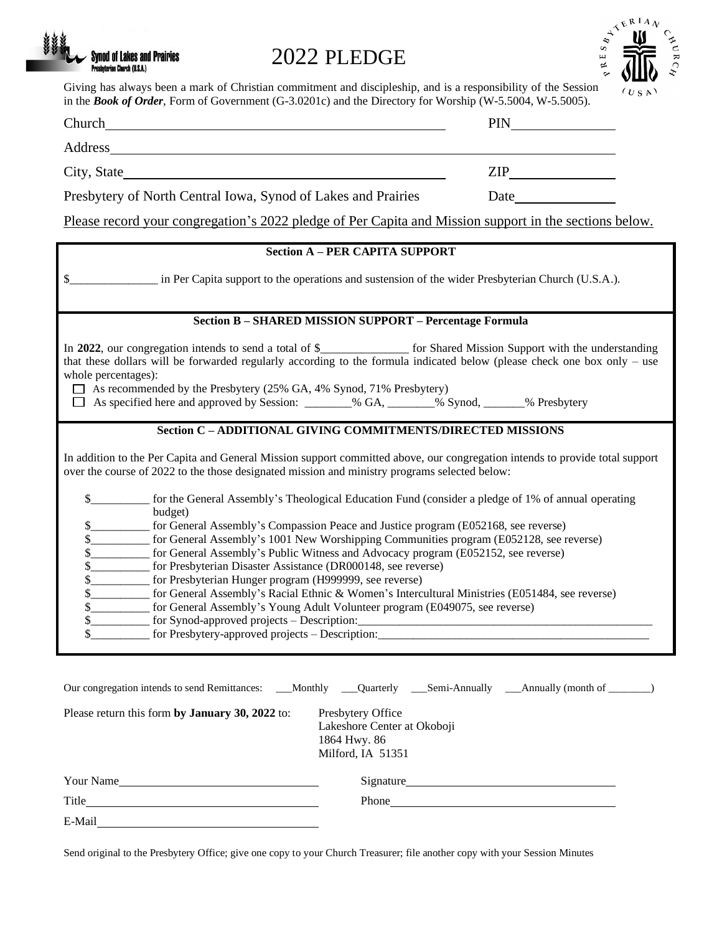# 2022 PLEDGE

**Synod of Lakes and Prairies** Presbyterian Church (U.S.A.)



Giving has always been a mark of Christian commitment and discipleship, and is a responsibility of the Session

| in the <b>Book of Order</b> , Form of Government (G-3.0201c) and the Directory for Worship (W-5.5004, W-5.5005).                                                                                                                                                                                                                                                                                                                                                                                                                                                                                                                                                                                                                                                                                                                                                                                                         |                                                                                                                                                                                                                               |
|--------------------------------------------------------------------------------------------------------------------------------------------------------------------------------------------------------------------------------------------------------------------------------------------------------------------------------------------------------------------------------------------------------------------------------------------------------------------------------------------------------------------------------------------------------------------------------------------------------------------------------------------------------------------------------------------------------------------------------------------------------------------------------------------------------------------------------------------------------------------------------------------------------------------------|-------------------------------------------------------------------------------------------------------------------------------------------------------------------------------------------------------------------------------|
|                                                                                                                                                                                                                                                                                                                                                                                                                                                                                                                                                                                                                                                                                                                                                                                                                                                                                                                          | <b>PIN</b>                                                                                                                                                                                                                    |
|                                                                                                                                                                                                                                                                                                                                                                                                                                                                                                                                                                                                                                                                                                                                                                                                                                                                                                                          |                                                                                                                                                                                                                               |
| City, State                                                                                                                                                                                                                                                                                                                                                                                                                                                                                                                                                                                                                                                                                                                                                                                                                                                                                                              |                                                                                                                                                                                                                               |
| Presbytery of North Central Iowa, Synod of Lakes and Prairies                                                                                                                                                                                                                                                                                                                                                                                                                                                                                                                                                                                                                                                                                                                                                                                                                                                            | Date and the same state of the state of the state of the state of the state of the state of the state of the state of the state of the state of the state of the state of the state of the state of the state of the state of |
| Please record your congregation's 2022 pledge of Per Capita and Mission support in the sections below.                                                                                                                                                                                                                                                                                                                                                                                                                                                                                                                                                                                                                                                                                                                                                                                                                   |                                                                                                                                                                                                                               |
| <b>Section A - PER CAPITA SUPPORT</b>                                                                                                                                                                                                                                                                                                                                                                                                                                                                                                                                                                                                                                                                                                                                                                                                                                                                                    |                                                                                                                                                                                                                               |
| in Per Capita support to the operations and sustension of the wider Presbyterian Church (U.S.A.).                                                                                                                                                                                                                                                                                                                                                                                                                                                                                                                                                                                                                                                                                                                                                                                                                        |                                                                                                                                                                                                                               |
| <b>Section B - SHARED MISSION SUPPORT - Percentage Formula</b>                                                                                                                                                                                                                                                                                                                                                                                                                                                                                                                                                                                                                                                                                                                                                                                                                                                           |                                                                                                                                                                                                                               |
| In 2022, our congregation intends to send a total of \$______________ for Shared Mission Support with the understanding<br>that these dollars will be forwarded regularly according to the formula indicated below (please check one box only - use<br>whole percentages):<br>$\Box$ As recommended by the Presbytery (25% GA, 4% Synod, 71% Presbytery)<br>□ As specified here and approved by Session: _______% GA, ______% Synod, _____% Presbytery                                                                                                                                                                                                                                                                                                                                                                                                                                                                   |                                                                                                                                                                                                                               |
| Section C - ADDITIONAL GIVING COMMITMENTS/DIRECTED MISSIONS<br>In addition to the Per Capita and General Mission support committed above, our congregation intends to provide total support<br>over the course of 2022 to the those designated mission and ministry programs selected below:                                                                                                                                                                                                                                                                                                                                                                                                                                                                                                                                                                                                                             |                                                                                                                                                                                                                               |
| for the General Assembly's Theological Education Fund (consider a pledge of 1% of annual operating<br>\$<br>budget)<br>\$<br>for General Assembly's Compassion Peace and Justice program (E052168, see reverse)<br>__________ for General Assembly's 1001 New Worshipping Communities program (E052128, see reverse)<br>for General Assembly's Public Witness and Advocacy program (E052152, see reverse)<br>\$<br>__________ for Presbyterian Disaster Assistance (DR000148, see reverse)<br>\$<br>\$<br>__________ for Presbyterian Hunger program (H999999, see reverse)<br>for General Assembly's Racial Ethnic & Women's Intercultural Ministries (E051484, see reverse)<br>\$_<br>\$<br>for General Assembly's Young Adult Volunteer program (E049075, see reverse)<br>\$<br>for Synod-approved projects - Description:<br>\$.<br>for Presbytery-approved projects – Description:_________________________________ |                                                                                                                                                                                                                               |
| Our congregation intends to send Remittances: ___Monthly ___Quarterly ___Semi-Annually ___Annually (month of ______)<br>Please return this form by January 30, 2022 to:<br>Presbytery Office<br>Lakeshore Center at Okoboji<br>1864 Hwy. 86<br>Milford, IA 51351                                                                                                                                                                                                                                                                                                                                                                                                                                                                                                                                                                                                                                                         |                                                                                                                                                                                                                               |

Your Name Signature Signature Title Phone E-Mail

Send original to the Presbytery Office; give one copy to your Church Treasurer; file another copy with your Session Minutes